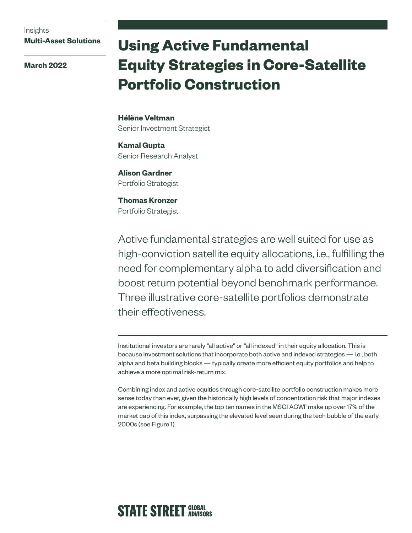Insights **Multi-Asset Solutions**

**March 2022**

# **Using Active Fundamental Equity Strategies in Core-Satellite Portfolio Construction**

**Hélène Veltman** Senior Investment Strategist

**Kamal Gupta** Senior Research Analyst

**Alison Gardner** Portfolio Strategist

**Thomas Kronzer** Portfolio Strategist

Active fundamental strategies are well suited for use as high-conviction satellite equity allocations, i.e., fulfilling the need for complementary alpha to add diversification and boost return potential beyond benchmark performance. Three illustrative core-satellite portfolios demonstrate their effectiveness.

Institutional investors are rarely "all active" or "all indexed" in their equity allocation. This is because investment solutions that incorporate both active and indexed strategies — i.e., both alpha and beta building blocks — typically create more efficient equity portfolios and help to achieve a more optimal risk-return mix.

Combining index and active equities through core-satellite portfolio construction makes more sense today than ever, given the historically high levels of concentration risk that major indexes are experiencing. For example, the top ten names in the MSCI ACWI1 make up over 17% of the market cap of this index, surpassing the elevated level seen during the tech bubble of the early 2000s (see Figure 1).

# **STATE STREET GLOBAL**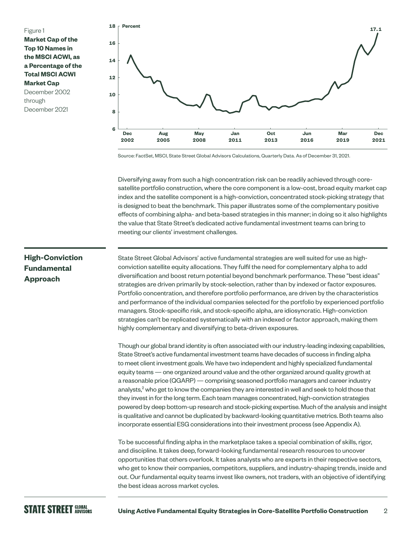



Source: FactSet, MSCI, State Street Global Advisors Calculations, Quarterly Data. As of December 31, 2021.

Diversifying away from such a high concentration risk can be readily achieved through coresatellite portfolio construction, where the core component is a low-cost, broad equity market cap index and the satellite component is a high-conviction, concentrated stock-picking strategy that is designed to beat the benchmark. This paper illustrates some of the complementary positive effects of combining alpha- and beta-based strategies in this manner; in doing so it also highlights the value that State Street's dedicated active fundamental investment teams can bring to meeting our clients' investment challenges.

# **High-Conviction Fundamental Approach**

State Street Global Advisors' active fundamental strategies are well suited for use as highconviction satellite equity allocations. They fulfil the need for complementary alpha to add diversification and boost return potential beyond benchmark performance. These "best ideas" strategies are driven primarily by stock-selection, rather than by indexed or factor exposures. Portfolio concentration, and therefore portfolio performance, are driven by the characteristics and performance of the individual companies selected for the portfolio by experienced portfolio managers. Stock-specific risk, and stock-specific alpha, are idiosyncratic. High-conviction strategies can't be replicated systematically with an indexed or factor approach, making them highly complementary and diversifying to beta-driven exposures.

Though our global brand identity is often associated with our industry-leading indexing capabilities, State Street's active fundamental investment teams have decades of success in finding alpha to meet client investment goals. We have two independent and highly specialized fundamental equity teams — one organized around value and the other organized around quality growth at a reasonable price (QGARP) — comprising seasoned portfolio managers and career industry analysts,<sup>2</sup> who get to know the companies they are interested in well and seek to hold those that they invest in for the long term. Each team manages concentrated, high-conviction strategies powered by deep bottom-up research and stock-picking expertise. Much of the analysis and insight is qualitative and cannot be duplicated by backward-looking quantitative metrics. Both teams also incorporate essential ESG considerations into their investment process (see Appendix A).

To be successful finding alpha in the marketplace takes a special combination of skills, rigor, and discipline. It takes deep, forward-looking fundamental research resources to uncover opportunities that others overlook. It takes analysts who are experts in their respective sectors, who get to know their companies, competitors, suppliers, and industry-shaping trends, inside and out. Our fundamental equity teams invest like owners, not traders, with an objective of identifying the best ideas across market cycles.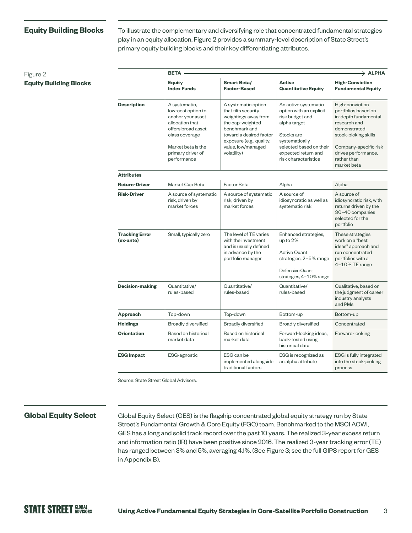### **Equity Building Blocks**

**Equity Building Blocks**

Figure 2

To illustrate the complementary and diversifying role that concentrated fundamental strategies play in an equity allocation, Figure 2 provides a summary-level description of State Street's primary equity building blocks and their key differentiating attributes.

|                                    | <b>BETA</b>                                                                                                                                                                   |                                                                                                                                                                                                     |                                                                                                                                                                                              | $\rightarrow$ ALPHA                                                                                                                                                                                  |
|------------------------------------|-------------------------------------------------------------------------------------------------------------------------------------------------------------------------------|-----------------------------------------------------------------------------------------------------------------------------------------------------------------------------------------------------|----------------------------------------------------------------------------------------------------------------------------------------------------------------------------------------------|------------------------------------------------------------------------------------------------------------------------------------------------------------------------------------------------------|
|                                    | <b>Equity</b><br><b>Index Funds</b>                                                                                                                                           | Smart Beta/<br><b>Factor-Based</b>                                                                                                                                                                  | <b>Active</b><br><b>Quantitative Equity</b>                                                                                                                                                  | <b>High-Conviction</b><br><b>Fundamental Equity</b>                                                                                                                                                  |
| <b>Description</b>                 | A systematic,<br>low-cost option to<br>anchor your asset<br>allocation that<br>offers broad asset<br>class coverage<br>Market beta is the<br>primary driver of<br>performance | A systematic option<br>that tilts security<br>weightings away from<br>the cap-weighted<br>benchmark and<br>toward a desired factor<br>exposure (e.g., quality,<br>value, low/managed<br>volatility) | An active systematic<br>option with an explicit<br>risk budget and<br>alpha target<br>Stocks are<br>systematically<br>selected based on their<br>expected return and<br>risk characteristics | High-conviction<br>portfolios based on<br>in-depth fundamental<br>research and<br>demonstrated<br>stock-picking skills<br>Company-specific risk<br>drives performance,<br>rather than<br>market beta |
| <b>Attributes</b>                  |                                                                                                                                                                               |                                                                                                                                                                                                     |                                                                                                                                                                                              |                                                                                                                                                                                                      |
| <b>Return-Driver</b>               | Market Cap Beta                                                                                                                                                               | Factor Beta                                                                                                                                                                                         | Alpha                                                                                                                                                                                        | Alpha                                                                                                                                                                                                |
| <b>Risk-Driver</b>                 | A source of systematic<br>risk, driven by<br>market forces                                                                                                                    | A source of systematic<br>risk, driven by<br>market forces                                                                                                                                          | A source of<br>idiosyncratic as well as<br>systematic risk                                                                                                                                   | A source of<br>idiosyncratic risk, with<br>returns driven by the<br>30-40 companies<br>selected for the<br>portfolio                                                                                 |
| <b>Tracking Error</b><br>(ex-ante) | Small, typically zero                                                                                                                                                         | The level of TE varies<br>with the investment<br>and is usually defined<br>in advance by the<br>portfolio manager                                                                                   | Enhanced strategies,<br>up to 2%<br><b>Active Quant</b><br>strategies, 2-5% range<br>Defensive Quant<br>strategies, 4-10% range                                                              | These strategies<br>work on a "best<br>ideas" approach and<br>run concentrated<br>portfolios with a<br>4-10% TE range                                                                                |
| <b>Decision-making</b>             | Quantitative/<br>rules-based                                                                                                                                                  | Quantitative/<br>rules-based                                                                                                                                                                        | Quantitative/<br>rules-based                                                                                                                                                                 | Qualitative, based on<br>the judgment of career<br>industry analysts<br>and PMs                                                                                                                      |
| Approach                           | Top-down                                                                                                                                                                      | Top-down                                                                                                                                                                                            | Bottom-up                                                                                                                                                                                    | Bottom-up                                                                                                                                                                                            |
| <b>Holdings</b>                    | Broadly diversified                                                                                                                                                           | <b>Broadly diversified</b>                                                                                                                                                                          | Broadly diversified                                                                                                                                                                          | Concentrated                                                                                                                                                                                         |
| <b>Orientation</b>                 | Based on historical<br>market data                                                                                                                                            | Based on historical<br>market data                                                                                                                                                                  | Forward-looking ideas,<br>back-tested using<br>historical data                                                                                                                               | Forward-looking                                                                                                                                                                                      |
| <b>ESG Impact</b>                  | ESG-agnostic                                                                                                                                                                  | ESG can be<br>implemented alongside<br>traditional factors                                                                                                                                          | ESG is recognized as<br>an alpha attribute                                                                                                                                                   | ESG is fully integrated<br>into the stock-picking<br>process                                                                                                                                         |

Source: State Street Global Advisors.

### **Global Equity Select**

Global Equity Select (GES) is the flagship concentrated global equity strategy run by State Street's Fundamental Growth & Core Equity (FGC) team. Benchmarked to the MSCI ACWI, GES has a long and solid track record over the past 10 years. The realized 3-year excess return and information ratio (IR) have been positive since 2016. The realized 3-year tracking error (TE) has ranged between 3% and 5%, averaging 4.1%. (See Figure 3; see the full GIPS report for GES in Appendix B).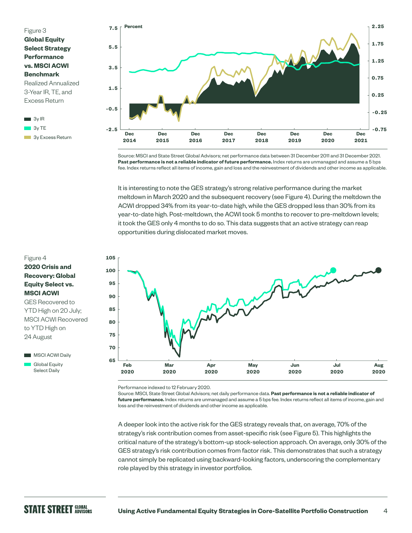

**3y Excess Return** 



Source: MSCI and State Street Global Advisors; net performance data between 31 December 2011 and 31 December 2021. **Past performance is not a reliable indicator of future performance.** Index returns are unmanaged and assume a 5 bps fee. Index returns reflect all items of income, gain and loss and the reinvestment of dividends and other income as applicable.

It is interesting to note the GES strategy's strong relative performance during the market meltdown in March 2020 and the subsequent recovery (see Figure 4). During the meltdown the ACWI dropped 34% from its year-to-date high, while the GES dropped less than 30% from its year-to-date high. Post-meltdown, the ACWI took 5 months to recover to pre-meltdown levels; it took the GES only 4 months to do so. This data suggests that an active strategy can reap opportunities during dislocated market moves.

# Figure 4

# **2020 Crisis and Recovery: Global Equity Select vs. MSCI ACWI**

GES Recovered to YTD High on 20 July; MSCI ACWI Recovered to YTD High on 24 August





Performance indexed to 12 February 2020.

Source: MSCI, State Street Global Advisors; net daily performance data. **Past performance is not a reliable indicator of future performance.** Index returns are unmanaged and assume a 5 bps fee. Index returns reflect all items of income, gain and loss and the reinvestment of dividends and other income as applicable.

A deeper look into the active risk for the GES strategy reveals that, on average, 70% of the strategy's risk contribution comes from asset-specific risk (see Figure 5). This highlights the critical nature of the strategy's bottom-up stock-selection approach. On average, only 30% of the GES strategy's risk contribution comes from factor risk. This demonstrates that such a strategy cannot simply be replicated using backward-looking factors, underscoring the complementary role played by this strategy in investor portfolios.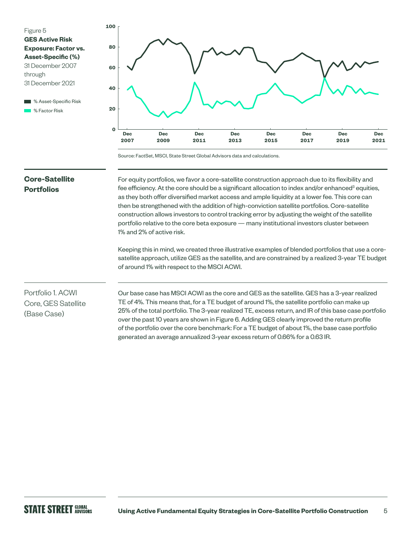

■ % Asset-Specific Risk **M** % Factor Risk



Source: FactSet, MSCI, State Street Global Advisors data and calculations.

# **Core-Satellite Portfolios**

For equity portfolios, we favor a core-satellite construction approach due to its flexibility and fee efficiency. At the core should be a significant allocation to index and/or enhanced ${}^{3}$  equities, as they both offer diversified market access and ample liquidity at a lower fee. This core can then be strengthened with the addition of high-conviction satellite portfolios. Core-satellite construction allows investors to control tracking error by adjusting the weight of the satellite portfolio relative to the core beta exposure — many institutional investors cluster between 1% and 2% of active risk.

Keeping this in mind, we created three illustrative examples of blended portfolios that use a coresatellite approach, utilize GES as the satellite, and are constrained by a realized 3-year TE budget of around 1% with respect to the MSCI ACWI.

# Portfolio 1. ACWI Core, GES Satellite (Base Case)

Our base case has MSCI ACWI as the core and GES as the satellite. GES has a 3-year realized TE of 4%. This means that, for a TE budget of around 1%, the satellite portfolio can make up 25% of the total portfolio. The 3-year realized TE, excess return, and IR of this base case portfolio over the past 10 years are shown in Figure 6. Adding GES clearly improved the return profile of the portfolio over the core benchmark: For a TE budget of about 1%, the base case portfolio generated an average annualized 3-year excess return of 0.66% for a 0.63 IR.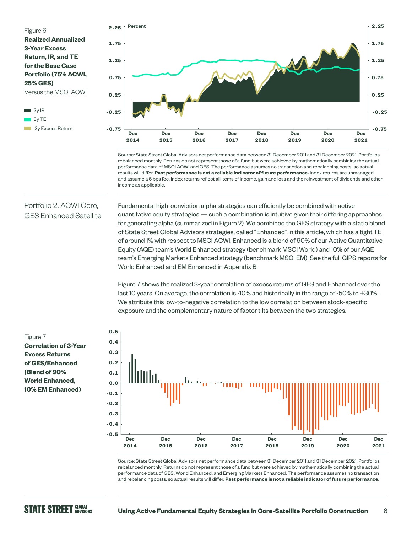

3y TE 3y Excess Return



Source: State Street Global Advisors net performance data between 31 December 2011 and 31 December 2021. Portfolios rebalanced monthly. Returns do not represent those of a fund but were achieved by mathematically combining the actual performance data of MSCI ACWI and GES. The performance assumes no transaction and rebalancing costs, so actual results will differ. **Past performance is not a reliable indicator of future performance.** Index returns are unmanaged and assume a 5 bps fee. Index returns reflect all items of income, gain and loss and the reinvestment of dividends and other income as applicable.

# Portfolio 2. ACWI Core, GES Enhanced Satellite

Fundamental high-conviction alpha strategies can efficiently be combined with active quantitative equity strategies — such a combination is intuitive given their differing approaches for generating alpha (summarized in Figure 2). We combined the GES strategy with a static blend of State Street Global Advisors strategies, called "Enhanced" in this article, which has a tight TE of around 1% with respect to MSCI ACWI. Enhanced is a blend of 90% of our Active Quantitative Equity (AQE) team's World Enhanced strategy (benchmark MSCI World) and 10% of our AQE team's Emerging Markets Enhanced strategy (benchmark MSCI EM). See the full GIPS reports for World Enhanced and EM Enhanced in Appendix B.

Figure 7 shows the realized 3-year correlation of excess returns of GES and Enhanced over the last 10 years. On average, the correlation is -10% and historically in the range of -50% to +30%. We attribute this low-to-negative correlation to the low correlation between stock-specific exposure and the complementary nature of factor tilts between the two strategies.

### Figure 7

**Correlation of 3-Year Excess Returns of GES/Enhanced (Blend of 90% World Enhanced, 10% EM Enhanced)**



Source: State Street Global Advisors net performance data between 31 December 2011 and 31 December 2021. Portfolios rebalanced monthly. Returns do not represent those of a fund but were achieved by mathematically combining the actual performance data of GES, World Enhanced, and Emerging Markets Enhanced. The performance assumes no transaction and rebalancing costs, so actual results will differ. **Past performance is not a reliable indicator of future performance.**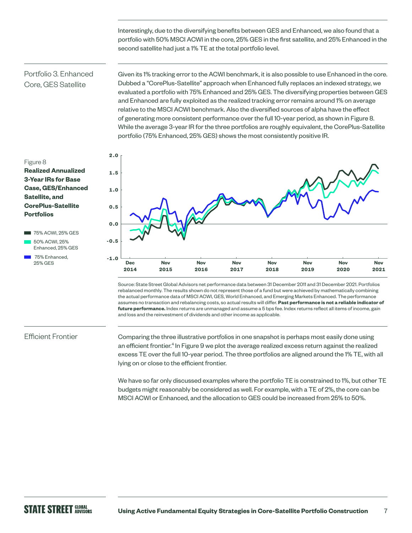Interestingly, due to the diversifying benefits between GES and Enhanced, we also found that a portfolio with 50% MSCI ACWI in the core, 25% GES in the first satellite, and 25% Enhanced in the second satellite had just a 1% TE at the total portfolio level.

# Portfolio 3. Enhanced Core, GES Satellite

Given its 1% tracking error to the ACWI benchmark, it is also possible to use Enhanced in the core. Dubbed a "CorePlus-Satellite" approach when Enhanced fully replaces an indexed strategy, we evaluated a portfolio with 75% Enhanced and 25% GES. The diversifying properties between GES and Enhanced are fully exploited as the realized tracking error remains around 1% on average relative to the MSCI ACWI benchmark. Also the diversified sources of alpha have the effect of generating more consistent performance over the full 10-year period, as shown in Figure 8. While the average 3-year IR for the three portfolios are roughly equivalent, the CorePlus-Satellite portfolio (75% Enhanced, 25% GES) shows the most consistently positive IR.

#### Figure 8

### **Realized Annualized 3-Year IRs for Base Case, GES/Enhanced Satellite, and CorePlus-Satellite Portfolios**



75% Enhanced, 25% GES



Source: State Street Global Advisors net performance data between 31 December 2011 and 31 December 2021. Portfolios rebalanced monthly. The results shown do not represent those of a fund but were achieved by mathematically combining the actual performance data of MSCI ACWI, GES, World Enhanced, and Emerging Markets Enhanced. The performance assumes no transaction and rebalancing costs, so actual results will differ. **Past performance is not a reliable indicator of future performance.** Index returns are unmanaged and assume a 5 bps fee. Index returns reflect all items of income, gain and loss and the reinvestment of dividends and other income as applicable.

### Efficient Frontier

Comparing the three illustrative portfolios in one snapshot is perhaps most easily done using an efficient frontier.<sup>4</sup> In Figure 9 we plot the average realized excess return against the realized excess TE over the full 10-year period. The three portfolios are aligned around the 1% TE, with all lying on or close to the efficient frontier.

We have so far only discussed examples where the portfolio TE is constrained to 1%, but other TE budgets might reasonably be considered as well. For example, with a TE of 2%, the core can be MSCI ACWI or Enhanced, and the allocation to GES could be increased from 25% to 50%.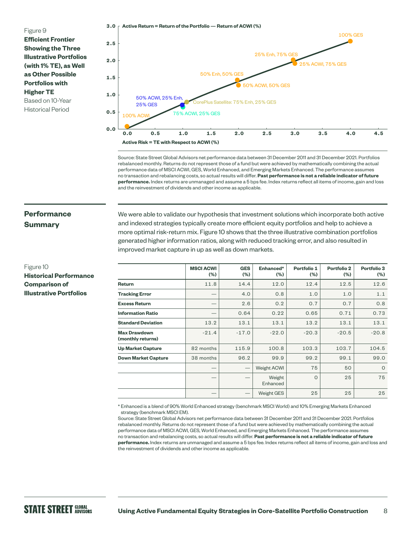#### Figure 9

**Efficient Frontier Showing the Three Illustrative Portfolios (with 1% TE), as Well as Other Possible Portfolios with Higher TE** Based on 10-Year

Historical Period



Source: State Street Global Advisors net performance data between 31 December 2011 and 31 December 2021. Portfolios rebalanced monthly. Returns do not represent those of a fund but were achieved by mathematically combining the actual performance data of MSCI ACWI, GES, World Enhanced, and Emerging Markets Enhanced. The performance assumes no transaction and rebalancing costs, so actual results will differ. **Past performance is not a reliable indicator of future performance.** Index returns are unmanaged and assume a 5 bps fee. Index returns reflect all items of income, gain and loss and the reinvestment of dividends and other income as applicable.

# **Performance Summary**

Figure 10

**Historical Performance Comparison of Illustrative Portfolios**

We were able to validate our hypothesis that investment solutions which incorporate both active and indexed strategies typically create more efficient equity portfolios and help to achieve a more optimal risk-return mix. Figure 10 shows that the three illustrative combination portfolios generated higher information ratios, along with reduced tracking error, and also resulted in improved market capture in up as well as down markets.

|                                          | <b>MSCI ACWI</b><br>(%) | <b>GES</b><br>(%)             | Enhanced*<br>$(\% )$ | Portfolio 1<br>$(\% )$ | <b>Portfolio 2</b><br>$(\% )$ | Portfolio 3<br>$(\% )$ |
|------------------------------------------|-------------------------|-------------------------------|----------------------|------------------------|-------------------------------|------------------------|
| Return                                   | 11.8                    | 14.4                          | 12.0                 | 12.4                   | 12.5                          | 12.6                   |
| <b>Tracking Error</b>                    |                         | 4.0                           | 0.8                  | 1.0                    | 1.0                           | 1.1                    |
| <b>Excess Return</b>                     |                         | 2.6                           | 0.2                  | 0.7                    | 0.7                           | 0.8                    |
| <b>Information Ratio</b>                 |                         | 0.64                          | 0.22                 | 0.65                   | 0.71                          | 0.73                   |
| <b>Standard Deviation</b>                | 13.2                    | 13.1                          | 13.1                 | 13.2                   | 13.1                          | 13.1                   |
| <b>Max Drawdown</b><br>(monthly returns) | $-21.4$                 | $-17.0$                       | $-22.0$              | $-20.3$                | $-20.5$                       | $-20.8$                |
| <b>Up Market Capture</b>                 | 82 months               | 115.9                         | 100.8                | 103.3                  | 103.7                         | 104.5                  |
| <b>Down Market Capture</b>               | 38 months               | 96.2                          | 99.9                 | 99.2                   | 99.1                          | 99.0                   |
|                                          |                         | $\qquad \qquad$               | Weight ACWI          | 75                     | 50                            | $\circ$                |
|                                          |                         |                               | Weight<br>Enhanced   | $\Omega$               | 25                            | 75                     |
|                                          |                         | $\overbrace{\phantom{12332}}$ | <b>Weight GES</b>    | 25                     | 25                            | 25                     |

\* Enhanced is a blend of 90% World Enhanced strategy (benchmark MSCI World) and 10% Emerging Markets Enhanced strategy (benchmark MSCI EM).

Source: State Street Global Advisors net performance data between 31 December 2011 and 31 December 2021. Portfolios rebalanced monthly. Returns do not represent those of a fund but were achieved by mathematically combining the actual performance data of MSCI ACWI, GES, World Enhanced, and Emerging Markets Enhanced. The performance assumes no transaction and rebalancing costs, so actual results will differ. **Past performance is not a reliable indicator of future performance.** Index returns are unmanaged and assume a 5 bps fee. Index returns reflect all items of income, gain and loss and the reinvestment of dividends and other income as applicable.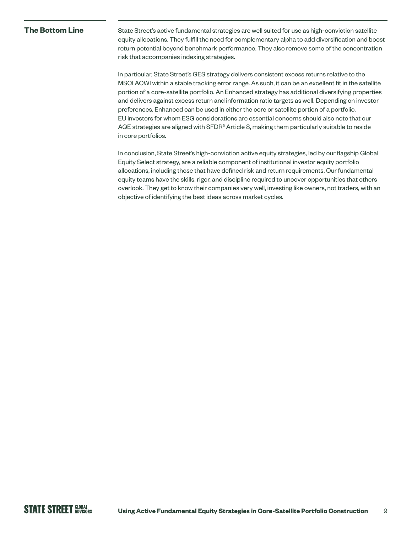### **The Bottom Line**

State Street's active fundamental strategies are well suited for use as high-conviction satellite equity allocations. They fulfill the need for complementary alpha to add diversification and boost return potential beyond benchmark performance. They also remove some of the concentration risk that accompanies indexing strategies.

In particular, State Street's GES strategy delivers consistent excess returns relative to the MSCI ACWI within a stable tracking error range. As such, it can be an excellent fit in the satellite portion of a core-satellite portfolio. An Enhanced strategy has additional diversifying properties and delivers against excess return and information ratio targets as well. Depending on investor preferences, Enhanced can be used in either the core or satellite portion of a portfolio. EU investors for whom ESG considerations are essential concerns should also note that our AQE strategies are aligned with SFDR<sup>5</sup> Article 8, making them particularly suitable to reside in core portfolios.

In conclusion, State Street's high-conviction active equity strategies, led by our flagship Global Equity Select strategy, are a reliable component of institutional investor equity portfolio allocations, including those that have defined risk and return requirements. Our fundamental equity teams have the skills, rigor, and discipline required to uncover opportunities that others overlook. They get to know their companies very well, investing like owners, not traders, with an objective of identifying the best ideas across market cycles.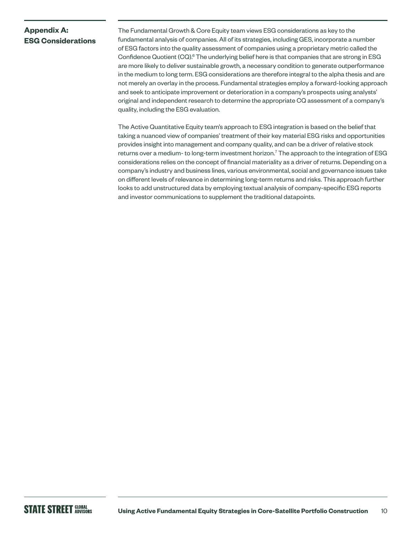# **Appendix A: ESG Considerations**

The Fundamental Growth & Core Equity team views ESG considerations as key to the fundamental analysis of companies. All of its strategies, including GES, incorporate a number of ESG factors into the quality assessment of companies using a proprietary metric called the Confidence Quotient (CQ).<sup>6</sup> The underlying belief here is that companies that are strong in ESG are more likely to deliver sustainable growth, a necessary condition to generate outperformance in the medium to long term. ESG considerations are therefore integral to the alpha thesis and are not merely an overlay in the process. Fundamental strategies employ a forward-looking approach and seek to anticipate improvement or deterioration in a company's prospects using analysts' original and independent research to determine the appropriate CQ assessment of a company's quality, including the ESG evaluation.

The Active Quantitative Equity team's approach to ESG integration is based on the belief that taking a nuanced view of companies' treatment of their key material ESG risks and opportunities provides insight into management and company quality, and can be a driver of relative stock returns over a medium- to long-term investment horizon.<sup>7</sup> The approach to the integration of ESG considerations relies on the concept of financial materiality as a driver of returns. Depending on a company's industry and business lines, various environmental, social and governance issues take on different levels of relevance in determining long-term returns and risks. This approach further looks to add unstructured data by employing textual analysis of company-specific ESG reports and investor communications to supplement the traditional datapoints.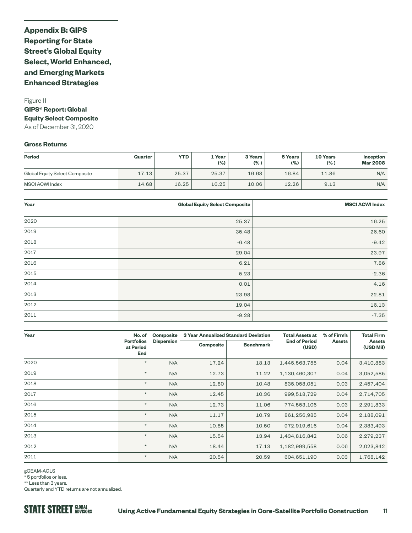# **Appendix B: GIPS Reporting for State Street's Global Equity Select, World Enhanced, and Emerging Markets Enhanced Strategies**

### Figure 11 **GIPS® Report: Global Equity Select Composite** As of December 31, 2020

### **Gross Returns**

| <b>Period</b>                  | Quarter | YTD.  | 1 Year<br>(% ) | 3 Years<br>(% ) | 5 Years<br>(%) | 10 Years<br>(% ) | <b>Inception</b><br><b>Mar 2008</b> |
|--------------------------------|---------|-------|----------------|-----------------|----------------|------------------|-------------------------------------|
| Global Equity Select Composite | 17.13   | 25.37 | 25.37          | 16.68           | 16.84          | 11.86            | N/A                                 |
| <b>MSCI ACWI Index</b>         | 14.68   | 16.25 | 16.25          | 10.06           | 12.26          | 9.13             | N/A                                 |

| Year | <b>Global Equity Select Composite</b> | <b>MSCI ACWI Index</b> |
|------|---------------------------------------|------------------------|
|      |                                       |                        |
| 2020 | 25.37                                 | 16.25                  |
| 2019 | 35.48                                 | 26.60                  |
| 2018 | $-6.48$                               | $-9.42$                |
| 2017 | 29.04                                 | 23.97                  |
| 2016 | 6.21                                  | 7.86                   |
| 2015 | 5.23                                  | $-2.36$                |
| 2014 | 0.01                                  | 4.16                   |
| 2013 | 23.98                                 | 22.81                  |
| 2012 | 19.04                                 | 16.13                  |
| 2011 | $-9.28$                               | $-7.35$                |

| Year | No. of                                       | <b>Composite</b>  |                  | <b>3 Year Annualized Standard Deviation</b> | <b>Total Assets at</b>        | % of Firm's   | <b>Total Firm</b>          |
|------|----------------------------------------------|-------------------|------------------|---------------------------------------------|-------------------------------|---------------|----------------------------|
|      | <b>Portfolios</b><br>at Period<br><b>End</b> | <b>Dispersion</b> | <b>Composite</b> | <b>Benchmark</b>                            | <b>End of Period</b><br>(USD) | <b>Assets</b> | <b>Assets</b><br>(USD Mil) |
| 2020 |                                              | N/A               | 17.24            | 18.13                                       | 1,445,563,755                 | 0.04          | 3,410,883                  |
| 2019 | $\star$                                      | N/A               | 12.73            | 11.22                                       | 1,130,460,307                 | 0.04          | 3,052,585                  |
| 2018 | $\star$                                      | N/A               | 12.80            | 10.48                                       | 835,058,051                   | 0.03          | 2,457,404                  |
| 2017 | $^\star$                                     | N/A               | 12.45            | 10.36                                       | 999,518,729                   | 0.04          | 2,714,705                  |
| 2016 | $^\star$                                     | N/A               | 12.73            | 11.06                                       | 774,553,106                   | 0.03          | 2,291,833                  |
| 2015 | $\star$                                      | N/A               | 11.17            | 10.79                                       | 861,256,985                   | 0.04          | 2,188,091                  |
| 2014 | $\star$                                      | N/A               | 10.85            | 10.50                                       | 972,919,616                   | 0.04          | 2,383,493                  |
| 2013 | $\star$                                      | N/A               | 15.54            | 13.94                                       | 1,434,816,842                 | 0.06          | 2,279,237                  |
| 2012 | $\star$                                      | N/A               | 18.44            | 17.13                                       | 1,182,999,558                 | 0.06          | 2,023,842                  |
| 2011 | $\star$                                      | N/A               | 20.54            | 20.59                                       | 604,651,190                   | 0.03          | 1,768,142                  |

gGEAM-AGLS

\* 5 portfolios or less.

\*\* Less than 3 years.

Quarterly and YTD returns are not annualized.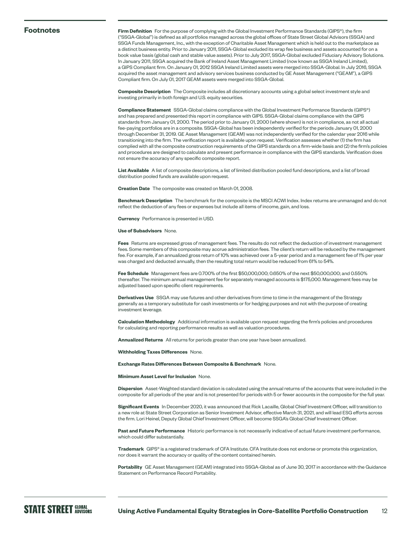#### **Footnotes**

**Firm Definition** For the purpose of complying with the Global Investment Performance Standards (GIPS®), the firm ("SSGA-Global") is defined as all portfolios managed across the global offices of State Street Global Advisors (SSGA) and SSGA Funds Management, Inc., with the exception of Charitable Asset Management which is held out to the marketplace as a distinct business entity. Prior to January 2011, SSGA-Global excluded its wrap fee business and assets accounted for on a book value basis (global cash and stable value assets). Prior to July 2017, SSGA-Global excluded Fiduciary Advisory Solutions. In January 2011, SSGA acquired the Bank of Ireland Asset Management Limited (now known as SSGA Ireland Limited), a GIPS Compliant firm. On January 01, 2012 SSGA Ireland Limited assets were merged into SSGA-Global. In July 2016, SSGA acquired the asset management and advisory services business conducted by GE Asset Management ("GEAM"), a GIPS Compliant firm. On July 01, 2017 GEAM assets were merged into SSGA-Global.

**Composite Description** The Composite includes all discretionary accounts using a global select investment style and investing primarily in both foreign and U.S. equity securities.

**Compliance Statement** SSGA-Global claims compliance with the Global Investment Performance Standards (GIPS®) and has prepared and presented this report in compliance with GIPS. SSGA-Global claims compliance with the GIPS standards from January 01, 2000. The period prior to January 01, 2000 (where shown) is not in compliance, as not all actual fee-paying portfolios are in a composite. SSGA-Global has been independently verified for the periods January 01, 2000 through December 31, 2019. GE Asset Management (GEAM) was not independently verified for the calendar year 2016 while transitioning into the firm. The verification report is available upon request. Verification assesses whether (1) the firm has complied with all the composite construction requirements of the GIPS standards on a firm-wide basis and (2) the firm's policies and procedures are designed to calculate and present performance in compliance with the GIPS standards. Verification does not ensure the accuracy of any specific composite report.

**List Available** A list of composite descriptions, a list of limited distribution pooled fund descriptions, and a list of broad distribution pooled funds are available upon request.

**Creation Date** The composite was created on March 01, 2008.

**Benchmark Description** The benchmark for the composite is the MSCI ACWI Index. Index returns are unmanaged and do not reflect the deduction of any fees or expenses but include all items of income, gain, and loss.

**Currency** Performance is presented in USD.

**Use of Subadvisors** None.

**Fees** Returns are expressed gross of management fees. The results do not reflect the deduction of investment management fees. Some members of this composite may accrue administration fees. The client's return will be reduced by the management fee. For example, if an annualized gross return of 10% was achieved over a 5-year period and a management fee of 1% per year was charged and deducted annually, then the resulting total return would be reduced from 61% to 54%.

**Fee Schedule** Management fees are 0.700% of the first \$50,000,000; 0.650% of the next \$50,000,000; and 0.550% thereafter. The minimum annual management fee for separately managed accounts is \$175,000. Management fees may be adjusted based upon specific client requirements.

**Derivatives Use** SSGA may use futures and other derivatives from time to time in the management of the Strategy generally as a temporary substitute for cash investments or for hedging purposes and not with the purpose of creating investment leverage.

**Calculation Methodology** Additional information is available upon request regarding the firm's policies and procedures for calculating and reporting performance results as well as valuation procedures.

**Annualized Returns** All returns for periods greater than one year have been annualized.

**Withholding Taxes Differences** None.

**Exchange Rates Differences Between Composite & Benchmark** None.

#### **Minimum Asset Level for Inclusion** None.

**Dispersion** Asset-Weighted standard deviation is calculated using the annual returns of the accounts that were included in the composite for all periods of the year and is not presented for periods with 5 or fewer accounts in the composite for the full year.

**Significant Events** In December 2020, it was announced that Rick Lacaille, Global Chief Investment Officer, will transition to a new role at State Street Corporation as Senior Investment Advisor, effective March 31, 2021, and will lead ESG efforts across the firm. Lori Heinel, Deputy Global Chief Investment Officer, will become SSGA's Global Chief Investment Officer.

**Past and Future Performance** Historic performance is not necessarily indicative of actual future investment performance, which could differ substantially.

**Trademark** GIPS® is a registered trademark of CFA Institute. CFA Institute does not endorse or promote this organization, nor does it warrant the accuracy or quality of the content contained herein.

**Portability** GE Asset Management (GEAM) integrated into SSGA-Global as of June 30, 2017 in accordance with the Guidance Statement on Performance Record Portability.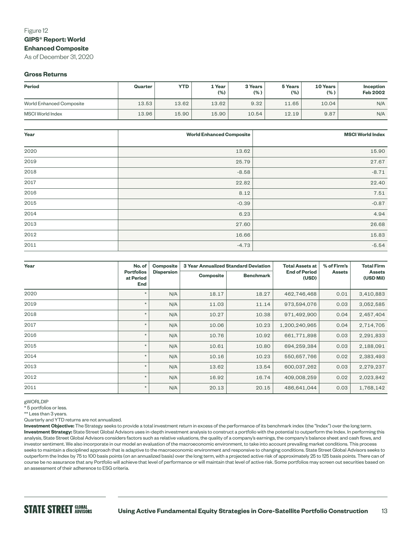### Figure 12 **GIPS® Report: World Enhanced Composite**

As of December 31, 2020

#### **Gross Returns**

| <b>Period</b>            | Quarter | <b>YTD</b> | 1 Year<br>$(\% )$ | 3 Years<br>$(\% )$ | 5 Years<br>$(\% )$ | 10 Years<br>$(\% )$ | <b>Inception</b><br><b>Feb 2002</b> |
|--------------------------|---------|------------|-------------------|--------------------|--------------------|---------------------|-------------------------------------|
| World Enhanced Composite | 13.53   | 13.62      | 13.62             | 9.32               | 11.65              | 10.04               | N/A                                 |
| MSCI World Index         | 13.96   | 15.90      | 15.90             | 10.54              | 12.19              | 9.87                | N/A                                 |

| Year | <b>World Enhanced Composite</b> | <b>MSCI World Index</b> |
|------|---------------------------------|-------------------------|
|      |                                 |                         |
| 2020 | 13.62                           | 15.90                   |
| 2019 | 25.79                           | 27.67                   |
| 2018 | $-8.58$                         | $-8.71$                 |
| 2017 | 22.82                           | 22.40                   |
| 2016 | 8.12                            | 7.51                    |
| 2015 | $-0.39$                         | $-0.87$                 |
| 2014 | 6.23                            | 4.94                    |
| 2013 | 27.60                           | 26.68                   |
| 2012 | 16.66                           | 15.83                   |
| 2011 | $-4.73$                         | $-5.54$                 |

| Year | No. of                                       | <b>Composite</b>  |                  | <b>3 Year Annualized Standard Deviation</b> | <b>Total Assets at</b>        | % of Firm's   | <b>Total Firm</b>          |
|------|----------------------------------------------|-------------------|------------------|---------------------------------------------|-------------------------------|---------------|----------------------------|
|      | <b>Portfolios</b><br>at Period<br><b>End</b> | <b>Dispersion</b> | <b>Composite</b> | <b>Benchmark</b>                            | <b>End of Period</b><br>(USD) | <b>Assets</b> | <b>Assets</b><br>(USD Mil) |
| 2020 | $\star$                                      | N/A               | 18.17            | 18.27                                       | 462,746,468                   | 0.01          | 3,410,883                  |
| 2019 | $\star$                                      | N/A               | 11.03            | 11.14                                       | 973,594,076                   | 0.03          | 3,052,585                  |
| 2018 | $\star$                                      | N/A               | 10.27            | 10.38                                       | 971,492,900                   | 0.04          | 2,457,404                  |
| 2017 | $\star$                                      | N/A               | 10.06            | 10.23                                       | 1,200,240,965                 | 0.04          | 2,714,705                  |
| 2016 | $\star$                                      | N/A               | 10.76            | 10.92                                       | 661,771,898                   | 0.03          | 2,291,833                  |
| 2015 | $\star$                                      | N/A               | 10.61            | 10.80                                       | 694,259,384                   | 0.03          | 2,188,091                  |
| 2014 | $\star$                                      | N/A               | 10.16            | 10.23                                       | 550,657,766                   | 0.02          | 2,383,493                  |
| 2013 | $^\star$                                     | N/A               | 13.62            | 13.54                                       | 600,037,262                   | 0.03          | 2,279,237                  |
| 2012 | $\star$                                      | N/A               | 16.92            | 16.74                                       | 409,008,259                   | 0.02          | 2,023,842                  |
| 2011 | $\star$                                      | N/A               | 20.13            | 20.15                                       | 486,641,044                   | 0.03          | 1,768,142                  |

gWORLDIP

 $\overline{\phantom{a}}$  5 portfolios or less.

\*\* Less than 3 years.

Quarterly and YTD returns are not annualized.

**Investment Objective:** The Strategy seeks to provide a total investment return in excess of the performance of its benchmark index (the "Index") over the long term. **Investment Strategy:** State Street Global Advisors uses in-depth investment analysis to construct a portfolio with the potential to outperform the Index. In performing this analysis, State Street Global Advisors considers factors such as relative valuations, the quality of a company's earnings, the company's balance sheet and cash flows, and investor sentiment. We also incorporate in our model an evaluation of the macroeconomic environment, to take into account prevailing market conditions. This process seeks to maintain a disciplined approach that is adaptive to the macroeconomic environment and responsive to changing conditions. State Street Global Advisors seeks to outperform the Index by 75 to 100 basis points (on an annualized basis) over the long term, with a projected active risk of approximately 25 to 125 basis points. There can of course be no assurance that any Portfolio will achieve that level of performance or will maintain that level of active risk. Some portfolios may screen out securities based on an assessment of their adherence to ESG criteria.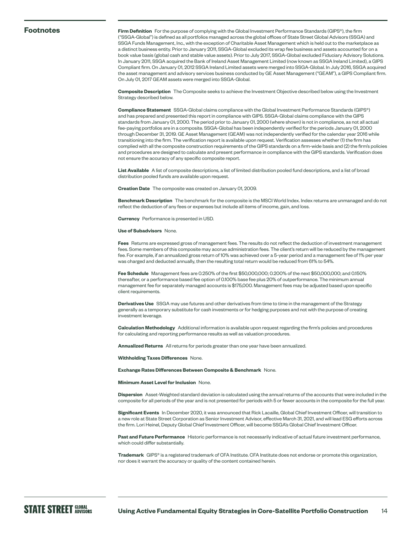#### **Footnotes**

**Firm Definition** For the purpose of complying with the Global Investment Performance Standards (GIPS®), the firm ("SSGA-Global") is defined as all portfolios managed across the global offices of State Street Global Advisors (SSGA) and SSGA Funds Management, Inc., with the exception of Charitable Asset Management which is held out to the marketplace as a distinct business entity. Prior to January 2011, SSGA-Global excluded its wrap fee business and assets accounted for on a book value basis (global cash and stable value assets). Prior to July 2017, SSGA-Global excluded Fiduciary Advisory Solutions. In January 2011, SSGA acquired the Bank of Ireland Asset Management Limited (now known as SSGA Ireland Limited), a GIPS Compliant firm. On January 01, 2012 SSGA Ireland Limited assets were merged into SSGA-Global. In July 2016, SSGA acquired the asset management and advisory services business conducted by GE Asset Management ("GEAM"), a GIPS Compliant firm. On July 01, 2017 GEAM assets were merged into SSGA-Global.

**Composite Description** The Composite seeks to achieve the Investment Objective described below using the Investment Strategy described below.

**Compliance Statement** SSGA-Global claims compliance with the Global Investment Performance Standards (GIPS®) and has prepared and presented this report in compliance with GIPS. SSGA-Global claims compliance with the GIPS standards from January 01, 2000. The period prior to January 01, 2000 (where shown) is not in compliance, as not all actual fee-paying portfolios are in a composite. SSGA-Global has been independently verified for the periods January 01, 2000 through December 31, 2019. GE Asset Management (GEAM) was not independently verified for the calendar year 2016 while transitioning into the firm. The verification report is available upon request. Verification assesses whether (1) the firm has complied with all the composite construction requirements of the GIPS standards on a firm-wide basis and (2) the firm's policies and procedures are designed to calculate and present performance in compliance with the GIPS standards. Verification does not ensure the accuracy of any specific composite report.

**List Available** A list of composite descriptions, a list of limited distribution pooled fund descriptions, and a list of broad distribution pooled funds are available upon request.

**Creation Date** The composite was created on January 01, 2009.

**Benchmark Description** The benchmark for the composite is the MSCI World Index. Index returns are unmanaged and do not reflect the deduction of any fees or expenses but include all items of income, gain, and loss.

**Currency** Performance is presented in USD.

#### **Use of Subadvisors** None.

**Fees** Returns are expressed gross of management fees. The results do not reflect the deduction of investment management fees. Some members of this composite may accrue administration fees. The client's return will be reduced by the management fee. For example, if an annualized gross return of 10% was achieved over a 5-year period and a management fee of 1% per year was charged and deducted annually, then the resulting total return would be reduced from 61% to 54%.

**Fee Schedule** Management fees are 0.250% of the first \$50,000,000; 0.200% of the next \$50,000,000; and 0.150% thereafter, or a performance based fee option of 0.100% base fee plus 20% of outperformance. The minimum annual management fee for separately managed accounts is \$175,000. Management fees may be adjusted based upon specific client requirements.

**Derivatives Use** SSGA may use futures and other derivatives from time to time in the management of the Strategy generally as a temporary substitute for cash investments or for hedging purposes and not with the purpose of creating investment leverage.

**Calculation Methodology** Additional information is available upon request regarding the firm's policies and procedures for calculating and reporting performance results as well as valuation procedures.

**Annualized Returns** All returns for periods greater than one year have been annualized.

**Withholding Taxes Differences** None.

#### **Exchange Rates Differences Between Composite & Benchmark** None.

#### **Minimum Asset Level for Inclusion** None.

**Dispersion** Asset-Weighted standard deviation is calculated using the annual returns of the accounts that were included in the composite for all periods of the year and is not presented for periods with 5 or fewer accounts in the composite for the full year.

**Significant Events** In December 2020, it was announced that Rick Lacaille, Global Chief Investment Officer, will transition to a new role at State Street Corporation as Senior Investment Advisor, effective March 31, 2021, and will lead ESG efforts across the firm. Lori Heinel, Deputy Global Chief Investment Officer, will become SSGA's Global Chief Investment Officer.

**Past and Future Performance** Historic performance is not necessarily indicative of actual future investment performance, which could differ substantially.

**Trademark** GIPS® is a registered trademark of CFA Institute. CFA Institute does not endorse or promote this organization, nor does it warrant the accuracy or quality of the content contained herein.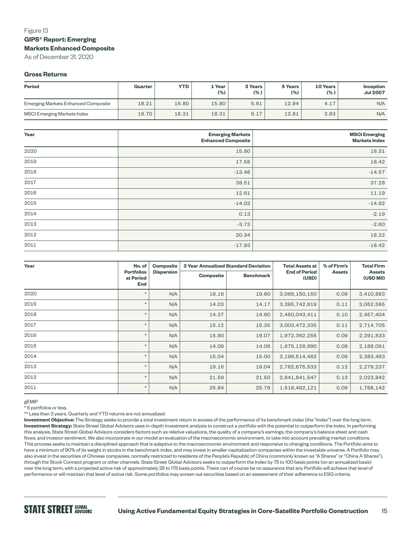# Figure 13 **GIPS® Report: Emerging Markets Enhanced Composite**

As of December 31, 2020

#### **Gross Returns**

| Period                              | Quarter | <b>YTD</b> | 1 Year<br>(%) | 3 Years<br>(% ) | 5 Years<br>$(\% )$ | 10 Years<br>(% ) | Inception<br><b>Jul 2007</b> |
|-------------------------------------|---------|------------|---------------|-----------------|--------------------|------------------|------------------------------|
| Emerging Markets Enhanced Composite | 18.21   | 15.80      | 15.80         | 5.61            | 12.94              | 4.17             | N/A                          |
| <b>MSCI Emerging Markets Index</b>  | 19.70   | 18.31      | 18.31         | 6.17            | 12.81              | 3.63             | N/A                          |

| Year | <b>Emerging Markets</b><br><b>Enhanced Composite</b> | <b>MSCI Emerging</b><br><b>Markets Index</b> |
|------|------------------------------------------------------|----------------------------------------------|
| 2020 | 15.80                                                | 18.31                                        |
| 2019 | 17.58                                                | 18.42                                        |
| 2018 | $-13.48$                                             | $-14.57$                                     |
| 2017 | 38.51                                                | 37.28                                        |
| 2016 | 12.61                                                | 11.19                                        |
| 2015 | $-14.03$                                             | $-14.92$                                     |
| 2014 | 0.13                                                 | $-2.19$                                      |
| 2013 | $-3.73$                                              | $-2.60$                                      |
| 2012 | 20.34                                                | 18.22                                        |
| 2011 | $-17.93$                                             | $-18.42$                                     |

| Year | No. of                                       | <b>Composite</b>  |                  | <b>3 Year Annualized Standard Deviation</b> | Total Assets at               | % of Firm's   | <b>Total Firm</b>          |
|------|----------------------------------------------|-------------------|------------------|---------------------------------------------|-------------------------------|---------------|----------------------------|
|      | <b>Portfolios</b><br>at Period<br><b>End</b> | <b>Dispersion</b> | <b>Composite</b> | <b>Benchmark</b>                            | <b>End of Period</b><br>(USD) | <b>Assets</b> | <b>Assets</b><br>(USD Mil) |
| 2020 | $\star$                                      | N/A               | 19.16            | 19.60                                       | 3,066,150,150                 | 0.09          | 3,410,883                  |
| 2019 | $\star$                                      | N/A               | 14.03            | 14.17                                       | 3,395,742,919                 | 0.11          | 3,052,585                  |
| 2018 | $\star$                                      | N/A               | 14.37            | 14.60                                       | 2,450,043,411                 | 0.10          | 2,457,404                  |
| 2017 | $\star$                                      | N/A               | 15.12            | 15.35                                       | 3,003,472,335                 | 0.11          | 2,714,705                  |
| 2016 | $\star$                                      | N/A               | 15.90            | 16.07                                       | 1,972,362,255                 | 0.09          | 2,291,833                  |
| 2015 | $\star$                                      | N/A               | 14.09            | 14.06                                       | 1,675,128,690                 | 0.08          | 2,188,091                  |
| 2014 | $\star$                                      | N/A               | 15.04            | 15.00                                       | 2,199,514,482                 | 0.09          | 2,383,493                  |
| 2013 | $\star$                                      | N/A               | 19.16            | 19.04                                       | 2,762,675,533                 | 0.12          | 2,279,237                  |
| 2012 | $^\star$                                     | N/A               | 21.59            | 21.50                                       | 2,641,841,547                 | 0.13          | 2,023,842                  |
| 2011 | $^\star$                                     | N/A               | 25.84            | 25.76                                       | 1,518,492,121                 | 0.09          | 1,768,142                  |

gEMIP

 $\overline{\phantom{a}}$  5 portfolios or less.

\*\* Less than 3 years. Quarterly and YTD returns are not annualized.

**Investment Objective:** The Strategy seeks to provide a total investment return in excess of the performance of its benchmark index (the "Index") over the long term. **Investment Strategy:** State Street Global Advisors uses in-depth investment analysis to construct a portfolio with the potential to outperform the Index. In performing this analysis, State Street Global Advisors considers factors such as relative valuations, the quality of a company's earnings, the company's balance sheet and cash flows, and investor sentiment. We also incorporate in our model an evaluation of the macroeconomic environment, to take into account prevailing market conditions. This process seeks to maintain a disciplined approach that is adaptive to the macroeconomic environment and responsive to changing conditions. The Portfolio aims to have a minimum of 90% of its weight in stocks in the benchmark index, and may invest in smaller capitalization companies within the investable universe. A Portfolio may also invest in the securities of Chinese companies, normally restricted to residents of the People's Republic of China (commonly known as "A Shares" or "China A Shares"), through the Stock Connect program or other channels. State Street Global Advisors seeks to outperform the Index by 75 to 100 basis points (on an annualized basis) over the long term, with a projected active risk of approximately 25 to 175 basis points. There can of course be no assurance that any Portfolio will achieve that level of performance or will maintain that level of active risk. Some portfolios may screen out securities based on an assessment of their adherence to ESG criteria.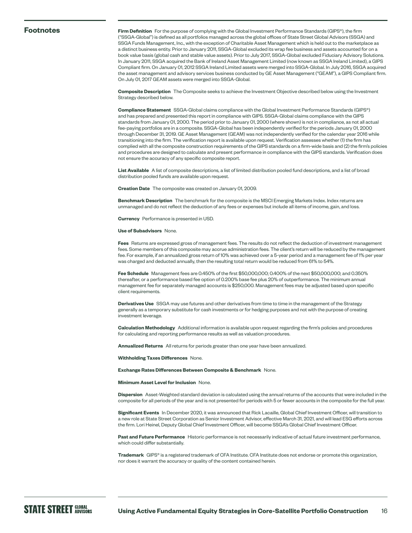#### **Footnotes**

**Firm Definition** For the purpose of complying with the Global Investment Performance Standards (GIPS®), the firm ("SSGA-Global") is defined as all portfolios managed across the global offices of State Street Global Advisors (SSGA) and SSGA Funds Management, Inc., with the exception of Charitable Asset Management which is held out to the marketplace as a distinct business entity. Prior to January 2011, SSGA-Global excluded its wrap fee business and assets accounted for on a book value basis (global cash and stable value assets). Prior to July 2017, SSGA-Global excluded Fiduciary Advisory Solutions. In January 2011, SSGA acquired the Bank of Ireland Asset Management Limited (now known as SSGA Ireland Limited), a GIPS Compliant firm. On January 01, 2012 SSGA Ireland Limited assets were merged into SSGA-Global. In July 2016, SSGA acquired the asset management and advisory services business conducted by GE Asset Management ("GEAM"), a GIPS Compliant firm. On July 01, 2017 GEAM assets were merged into SSGA-Global.

**Composite Description** The Composite seeks to achieve the Investment Objective described below using the Investment Strategy described below.

**Compliance Statement** SSGA-Global claims compliance with the Global Investment Performance Standards (GIPS®) and has prepared and presented this report in compliance with GIPS. SSGA-Global claims compliance with the GIPS standards from January 01, 2000. The period prior to January 01, 2000 (where shown) is not in compliance, as not all actual fee-paying portfolios are in a composite. SSGA-Global has been independently verified for the periods January 01, 2000 through December 31, 2019. GE Asset Management (GEAM) was not independently verified for the calendar year 2016 while transitioning into the firm. The verification report is available upon request. Verification assesses whether (1) the firm has complied with all the composite construction requirements of the GIPS standards on a firm-wide basis and (2) the firm's policies and procedures are designed to calculate and present performance in compliance with the GIPS standards. Verification does not ensure the accuracy of any specific composite report.

**List Available** A list of composite descriptions, a list of limited distribution pooled fund descriptions, and a list of broad distribution pooled funds are available upon request.

**Creation Date** The composite was created on January 01, 2009.

**Benchmark Description** The benchmark for the composite is the MSCI Emerging Markets Index. Index returns are unmanaged and do not reflect the deduction of any fees or expenses but include all items of income, gain, and loss.

**Currency** Performance is presented in USD.

#### **Use of Subadvisors** None.

**Fees** Returns are expressed gross of management fees. The results do not reflect the deduction of investment management fees. Some members of this composite may accrue administration fees. The client's return will be reduced by the management fee. For example, if an annualized gross return of 10% was achieved over a 5-year period and a management fee of 1% per year was charged and deducted annually, then the resulting total return would be reduced from 61% to 54%.

**Fee Schedule** Management fees are 0.450% of the first \$50,000,000; 0.400% of the next \$50,000,000; and 0.350% thereafter, or a performance based fee option of 0.200% base fee plus 20% of outperformance. The minimum annual management fee for separately managed accounts is \$250,000. Management fees may be adjusted based upon specific client requirements.

**Derivatives Use** SSGA may use futures and other derivatives from time to time in the management of the Strategy generally as a temporary substitute for cash investments or for hedging purposes and not with the purpose of creating investment leverage.

**Calculation Methodology** Additional information is available upon request regarding the firm's policies and procedures for calculating and reporting performance results as well as valuation procedures.

**Annualized Returns** All returns for periods greater than one year have been annualized.

**Withholding Taxes Differences** None.

#### **Exchange Rates Differences Between Composite & Benchmark** None.

#### **Minimum Asset Level for Inclusion** None.

**Dispersion** Asset-Weighted standard deviation is calculated using the annual returns of the accounts that were included in the composite for all periods of the year and is not presented for periods with 5 or fewer accounts in the composite for the full year.

**Significant Events** In December 2020, it was announced that Rick Lacaille, Global Chief Investment Officer, will transition to a new role at State Street Corporation as Senior Investment Advisor, effective March 31, 2021, and will lead ESG efforts across the firm. Lori Heinel, Deputy Global Chief Investment Officer, will become SSGA's Global Chief Investment Officer.

**Past and Future Performance** Historic performance is not necessarily indicative of actual future investment performance, which could differ substantially.

**Trademark** GIPS® is a registered trademark of CFA Institute. CFA Institute does not endorse or promote this organization, nor does it warrant the accuracy or quality of the content contained herein.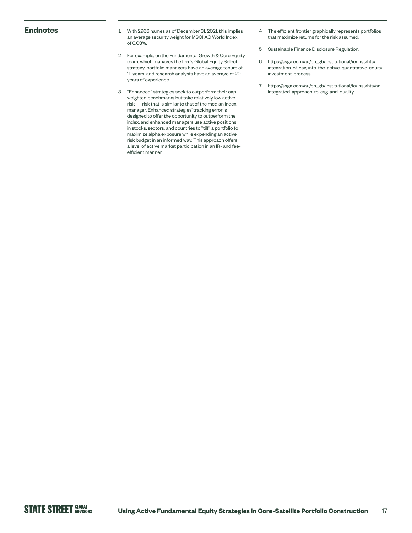- **Endnotes** 1 With 2966 names as of December 31, 2021, this implies an average security weight for MSCI AC World Index of 0.03%.
	- 2 For example, on the Fundamental Growth & Core Equity team, which manages the firm's Global Equity Select strategy, portfolio managers have an average tenure of 19 years, and research analysts have an average of 20 years of experience.
	- 3 "Enhanced" strategies seek to outperform their capweighted benchmarks but take relatively low active risk — risk that is similar to that of the median index manager. Enhanced strategies' tracking error is designed to offer the opportunity to outperform the index, and enhanced managers use active positions in stocks, sectors, and countries to "tilt" a portfolio to maximize alpha exposure while expending an active risk budget in an informed way. This approach offers a level of active market participation in an IR- and feeefficient manner.
- 4 The efficient frontier graphically represents portfolios that maximize returns for the risk assumed.
- 5 Sustainable Finance Disclosure Regulation.
- 6 [https://ssga.com/au/en\\_gb/institutional/ic/insights/](https://ssga.com/au/en_gb/institutional/ic/insights/integration-of-esg-into-the-active-quantitative-equity-investment-process) [integration-of-esg-into-the-active-quantitative-equity](https://ssga.com/au/en_gb/institutional/ic/insights/integration-of-esg-into-the-active-quantitative-equity-investment-process)[investment-process.](https://ssga.com/au/en_gb/institutional/ic/insights/integration-of-esg-into-the-active-quantitative-equity-investment-process)
- 7 [https://ssga.com/au/en\\_gb/institutional/ic/insights/an](https://ssga.com/au/en_gb/institutional/ic/insights/an-integrated-approach-to-esg-and-quality)[integrated-approach-to-esg-and-quality.](https://ssga.com/au/en_gb/institutional/ic/insights/an-integrated-approach-to-esg-and-quality)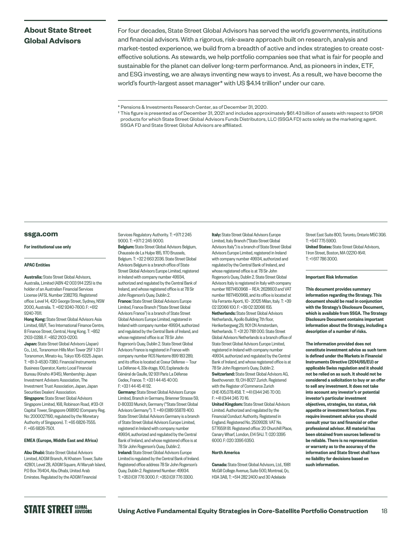# **About State Street Global Advisors**

For four decades, State Street Global Advisors has served the world's governments, institutions and financial advisors. With a rigorous, risk-aware approach built on research, analysis and market-tested experience, we build from a breadth of active and index strategies to create costeffective solutions. As stewards, we help portfolio companies see that what is fair for people and sustainable for the planet can deliver long-term performance. And, as pioneers in index, ETF, and ESG investing, we are always inventing new ways to invest. As a result, we have become the world's fourth-largest asset manager\* with US \$4.14 trillion† under our care.

† This figure is presented as of December 31, 2021 and includes approximately \$61.43 billion of assets with respect to SPDR products for which State Street Global Advisors Funds Distributors, LLC (SSGA FD) acts solely as the marketing agent. SSGA FD and State Street Global Advisors are affiliated.

#### **[ssga.com](http://ssga.com)**

#### For institutional use only

#### APAC Entities

Australia: State Street Global Advisors, Australia, Limited (ABN 42 003 914 225) is the holder of an Australian Financial Services License (AFSL Number 238276). Registered office: Level 14, 420 George Street, Sydney, NSW 2000, Australia. T: +612 9240-7600. F: +612 9240-7611.

Hong Kong: State Street Global Advisors Asia Limited, 68/F, Two International Finance Centre, 8 Finance Street, Central, Hong Kong. T: +852 2103-0288. F: +852 2103-0200. Japan: State Street Global Advisors (Japan) Co., Ltd., Toranomon Hills Mori Tower 25F 1-23-1 Toranomon, Minato-ku, Tokyo 105-6325 Japan. T: +81-3-4530-7380. Financial Instruments Business Operator, Kanto Local Financial Bureau (Kinsho #345), Membership: Japan Investment Advisers Association, The Investment Trust Association, Japan, Japan Securities Dealers' Association. Singapore: State Street Global Advisors Singapore Limited, 168, Robinson Road, #33-01 Capital Tower, Singapore 068912 (Company Reg. No: 200002719D, regulated by the Monetary

EMEA (Europe, Middle East and Africa)

Authority of Singapore). T: +65 6826-7555.

F: +65 6826-7501.

Abu Dhabi: State Street Global Advisors Limited, ADGM Branch, Al Khatem Tower, Suite 42801, Level 28, ADGM Square, Al Maryah Island, P.O Box 76404, Abu Dhabi, United Arab Emirates. Regulated by the ADGM Financial

Services Regulatory Authority. T: +971 2 245 9000. T: +971 2 245 9000.

Belgium: State Street Global Advisors Belgium, Chaussée de La Hulpe 185, 1170 Brussels, Belgium. T: +32 2 663 2036. State Street Global Advisors Belgium is a branch office of State Street Global Advisors Europe Limited, registered in Ireland with company number 49934, authorized and regulated by the Central Bank of Ireland, and whose registered office is at 78 Sir John Rogerson's Quay, Dublin 2. France: State Street Global Advisors Europe Limited, France Branch ("State Street Global Advisors France") is a branch of State Street Global Advisors Europe Limited, registered in Ireland with company number 49934, authorized and regulated by the Central Bank of Ireland, and whose registered office is at 78 Sir John Rogerson's Quay, Dublin 2. State Street Global Advisors France is registered in France with company number RCS Nanterre 899 183 289, and its office is located at Coeur Défense — Tour La Défense 4, 33e étage, 100, Esplanade du Général de Gaulle, 92 931 Paris La Défense

Cedex, France. T: +33 1 44 45 40 00. F: +33 1 44 45 41 92.

**Germany:** State Street Global Advisors Europe Limited, Branch in Germany, Brienner Strasse 59, D-80333 Munich, Germany ("State Street Global Advisors Germany"). T: +49 (0)89 55878 400. State Street Global Advisors Germany is a branch of State Street Global Advisors Europe Limited, registered in Ireland with company number 49934, authorized and regulated by the Central Bank of Ireland, and whose registered office is at 78 Sir John Rogerson's Quay, Dublin 2. **Ireland:** State Street Global Advisors Europe Limited is regulated by the Central Bank of Ireland. Registered office address 78 Sir John Rogerson's Quay, Dublin 2. Registered Number: 49934. T: +353 (0)1 776 3000. F: +353 (0)1 776 3300.

Italy: State Street Global Advisors Europe Limited, Italy Branch ("State Street Global Advisors Italy") is a branch of State Street Global Advisors Europe Limited, registered in Ireland with company number 49934, authorized and regulated by the Central Bank of Ireland, and whose registered office is at 78 Sir John Rogerson's Quay, Dublin 2. State Street Global Advisors Italy is registered in Italy with company number 11871450968 — REA: 2628603 and VAT number 11871450968, and its office is located at Via Ferrante Aporti, 10 - 20125 Milan, Italy. T: +39 02 32066 100. F: +39 02 32066 155. Netherlands: State Street Global Advisors Netherlands, Apollo Building 7th floor, Herikerbergweg 29, 1101 CN Amsterdam, Netherlands. T: +31 20 7181 000. State Street Global Advisors Netherlands is a branch office of State Street Global Advisors Europe Limited registered in Ireland with company number 49934, authorized and regulated by the Central Bank of Ireland, and whose registered office is at 78 Sir John Rogerson's Quay, Dublin 2. Switzerland: State Street Global Advisors AG, Beethovenstr. 19, CH-8027 Zurich. Registered with the Register of Commerce Zurich CHE-105.078.458. T: +41 (0)44 245 70 00. F: +41 (0)44 245 70 16.

United Kingdom: State Street Global Advisors Limited. Authorized and regulated by the Financial Conduct Authority. Registered in England. Registered No. 2509928. VAT No. 5776591 81. Registered office: 20 Churchill Place, Canary Wharf, London, E14 5HJ. T: 020 3395 6000. F: 020 3395 6350.

#### North America

Canada: State Street Global Advisors, Ltd., 1981 McGill College Avenue, Suite 500, Montreal, Qc, H3A 3A8, T: +514 282 2400 and 30 Adelaide

Street East Suite 800, Toronto, Ontario M5C 3G6. T: +647 775 5900.

United States: State Street Global Advisors, 1 Iron Street, Boston, MA 02210-1641. T: +1 617 786 3000.

#### Important Risk Information

This document provides summary information regarding the Strategy. This document should be read in conjunction with the Strategy's Disclosure Document, which is available from SSGA. The Strategy Disclosure Document contains important information about the Strategy, including a description of a number of risks.

The information provided does not constitute investment advice as such term is defined under the Markets in Financial Instruments Directive (2014/65/EU) or applicable Swiss regulation and it should not be relied on as such. It should not be considered a solicitation to buy or an offer to sell any investment. It does not take into account any investor's or potential investor's particular investment objectives, strategies, tax status, risk appetite or investment horizon. If you require investment advice you should consult your tax and financial or other professional advisor. All material has been obtained from sources believed to be reliable. There is no representation or warranty as to the accuracy of the information and State Street shall have no liability for decisions based on such information.

<sup>\*</sup> Pensions & Investments Research Center, as of December 31, 2020.